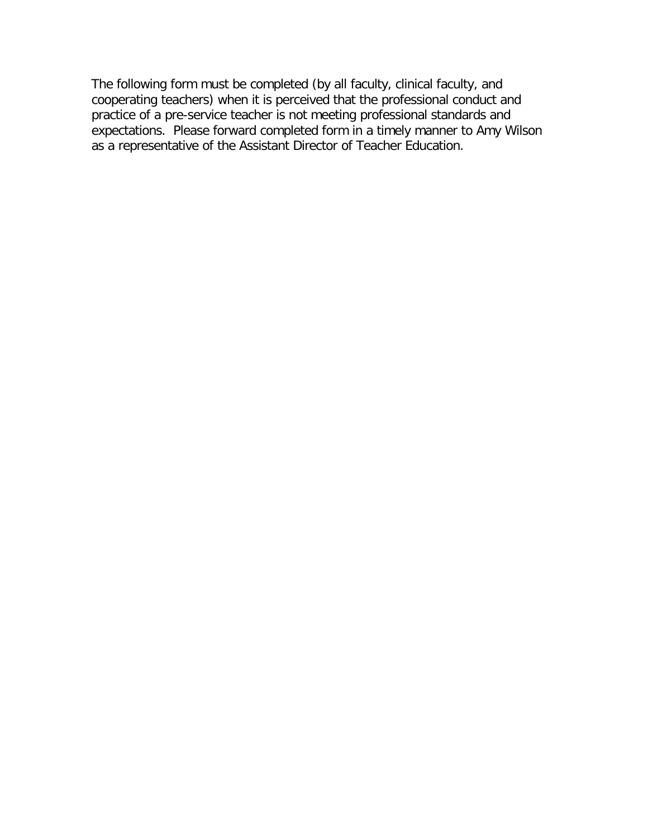The following form must be completed (by all faculty, clinical faculty, and cooperating teachers) when it is perceived that the professional conduct and practice of a pre-service teacher is not meeting professional standards and expectations. Please forward completed form in a timely manner to Amy Wilson as a representative of the Assistant Director of Teacher Education.